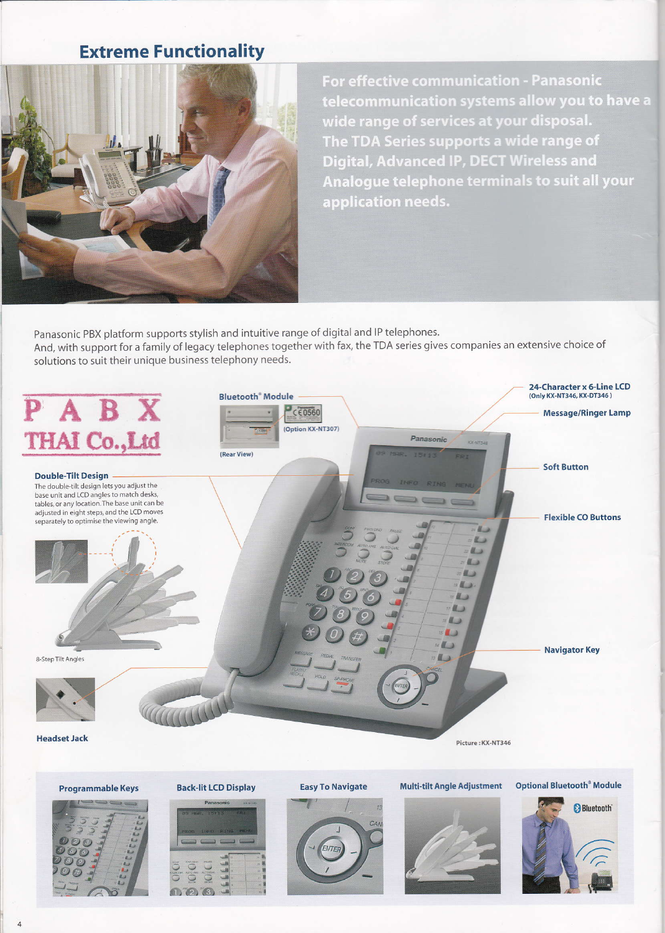### **Extreme Functionality**



For effective communication - Panasonic telecommunication systems allow you to have a wide range of services at your disposal. The TDA Series supports a wide range of **Digital, Advanced IP, DECT Wireless and** Analogue telephone terminals to suit all your application needs.

Panasonic PBX platform supports stylish and intuitive range of digital and IP telephones. And, with support for a family of legacy telephones together with fax, the TDA series gives companies an extensive choice of solutions to suit their unique business telephony needs.



**Programmable Keys** 





**Back-lit LCD Display** 

**Easy To Navigate** 



Multi-tilt Angle Adjustment